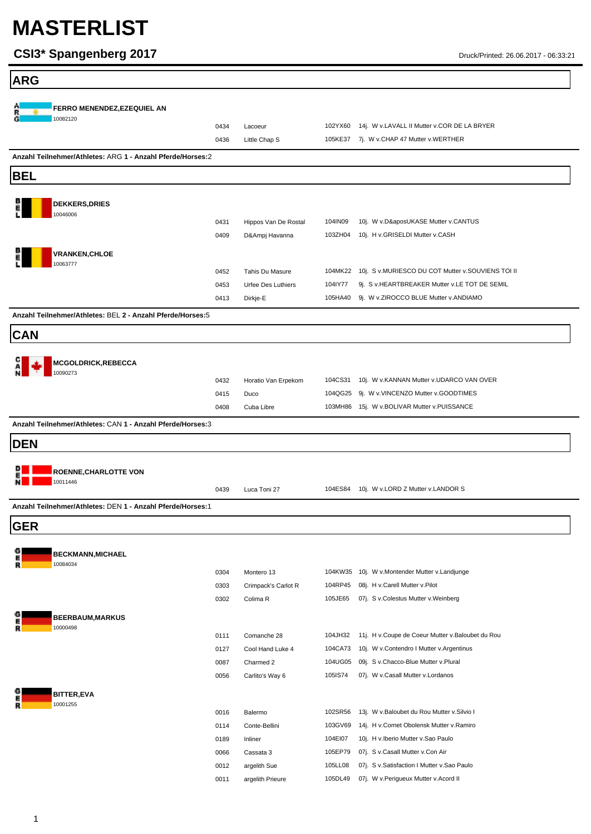| <b>ARG</b>                                                 |              |                                 |                    |                                                                                              |
|------------------------------------------------------------|--------------|---------------------------------|--------------------|----------------------------------------------------------------------------------------------|
|                                                            |              |                                 |                    |                                                                                              |
| FERRO MENENDEZ, EZEQUIEL AN<br>10082120                    |              |                                 |                    |                                                                                              |
|                                                            | 0434         | Lacoeur                         | 102YX60            | 14j. W v.LAVALL II Mutter v.COR DE LA BRYER                                                  |
|                                                            | 0436         | Little Chap S                   | 105KE37            | 7j. W v.CHAP 47 Mutter v.WERTHER                                                             |
| Anzahl Teilnehmer/Athletes: ARG 1 - Anzahl Pferde/Horses:2 |              |                                 |                    |                                                                                              |
| <b>BEL</b>                                                 |              |                                 |                    |                                                                                              |
| <b>DEKKERS, DRIES</b>                                      |              |                                 |                    |                                                                                              |
| 10046006                                                   |              |                                 |                    |                                                                                              |
|                                                            | 0431         | Hippos Van De Rostal            | 104IN09            | 10j. W v.D&aposUKASE Mutter v.CANTUS                                                         |
|                                                            | 0409         | D&Ampj Havanna                  | 103ZH04            | 10j. H v.GRISELDI Mutter v.CASH                                                              |
| <b>VRANKEN,CHLOE</b><br>10063777                           |              |                                 |                    |                                                                                              |
|                                                            | 0452         | Tahis Du Masure                 |                    | 104MK22 10j. S v.MURIESCO DU COT Mutter v.SOUVIENS TOI II                                    |
|                                                            | 0453         | <b>Urfee Des Luthiers</b>       | 104IY77            | 9j. S v.HEARTBREAKER Mutter v.LE TOT DE SEMIL                                                |
|                                                            | 0413         | Dirkje-E                        | 105HA40            | 9j. W v.ZIROCCO BLUE Mutter v.ANDIAMO                                                        |
| Anzahl Teilnehmer/Athletes: BEL 2 - Anzahl Pferde/Horses:5 |              |                                 |                    |                                                                                              |
| <b>CAN</b>                                                 |              |                                 |                    |                                                                                              |
|                                                            |              |                                 |                    |                                                                                              |
| MCGOLDRICK, REBECCA<br>10090273                            |              |                                 |                    |                                                                                              |
|                                                            | 0432         | Horatio Van Erpekom             |                    | 104CS31 10j. W v.KANNAN Mutter v.UDARCO VAN OVER                                             |
|                                                            | 0415         | Duco                            |                    | 104QG25 9j. W v.VINCENZO Mutter v.GOODTIMES                                                  |
|                                                            | 0408         | Cuba Libre                      |                    | 103MH86 15j. W v.BOLIVAR Mutter v.PUISSANCE                                                  |
| Anzahl Teilnehmer/Athletes: CAN 1 - Anzahl Pferde/Horses:3 |              |                                 |                    |                                                                                              |
| <b>DEN</b>                                                 |              |                                 |                    |                                                                                              |
|                                                            |              |                                 |                    |                                                                                              |
| <b>ROENNE, CHARLOTTE VON</b>                               |              |                                 |                    |                                                                                              |
| 10011446                                                   | 0439         | Luca Toni 27                    | 104ES84            | 10j. W v.LORD Z Mutter v.LANDOR S                                                            |
| Anzahl Teilnehmer/Athletes: DEN 1 - Anzahl Pferde/Horses:1 |              |                                 |                    |                                                                                              |
| <b>GER</b>                                                 |              |                                 |                    |                                                                                              |
|                                                            |              |                                 |                    |                                                                                              |
| BECKMANN, MICHAEL                                          |              |                                 |                    |                                                                                              |
| 10084034<br>R                                              | 0304         | Montero 13                      |                    | 104KW35 10j. W v.Montender Mutter v.Landjunge                                                |
|                                                            | 0303         | Crimpack's Carlot R             | 104RP45            | 08j. H v.Carell Mutter v.Pilot                                                               |
|                                                            | 0302         | Colima <sub>R</sub>             | 105JE65            | 07j. S v.Colestus Mutter v.Weinberg                                                          |
| <b>BEERBAUM, MARKUS</b>                                    |              |                                 |                    |                                                                                              |
| 10000498                                                   |              |                                 |                    |                                                                                              |
|                                                            | 0111<br>0127 | Comanche 28<br>Cool Hand Luke 4 | 104JH32<br>104CA73 | 11j. H v.Coupe de Coeur Mutter v.Baloubet du Rou<br>10j. W v.Contendro I Mutter v.Argentinus |
|                                                            | 0087         | Charmed 2                       | 104UG05            | 09j. S v.Chacco-Blue Mutter v.Plural                                                         |
|                                                            | 0056         | Carlito's Way 6                 | 105IS74            | 07j. W v.Casall Mutter v.Lordanos                                                            |
| <b>BITTER,EVA</b>                                          |              |                                 |                    |                                                                                              |
| 10001255                                                   |              |                                 |                    |                                                                                              |
|                                                            | 0016         | Balermo                         | 102SR56            | 13j. W v.Baloubet du Rou Mutter v.Silvio I                                                   |
|                                                            | 0114<br>0189 | Conte-Bellini<br>Inliner        | 103GV69<br>104EI07 | 14j. H v.Cornet Obolensk Mutter v.Ramiro<br>10j. H v. Iberio Mutter v. Sao Paulo             |
|                                                            | 0066         | Cassata 3                       | 105EP79            | 07j. S v.Casall Mutter v.Con Air                                                             |
|                                                            | 0012         | argelith Sue                    | 105LL08            | 07j. S v.Satisfaction I Mutter v.Sao Paulo                                                   |
|                                                            | 0011         | argelith Prieure                | 105DL49            | 07j. W v.Perigueux Mutter v.Acord II                                                         |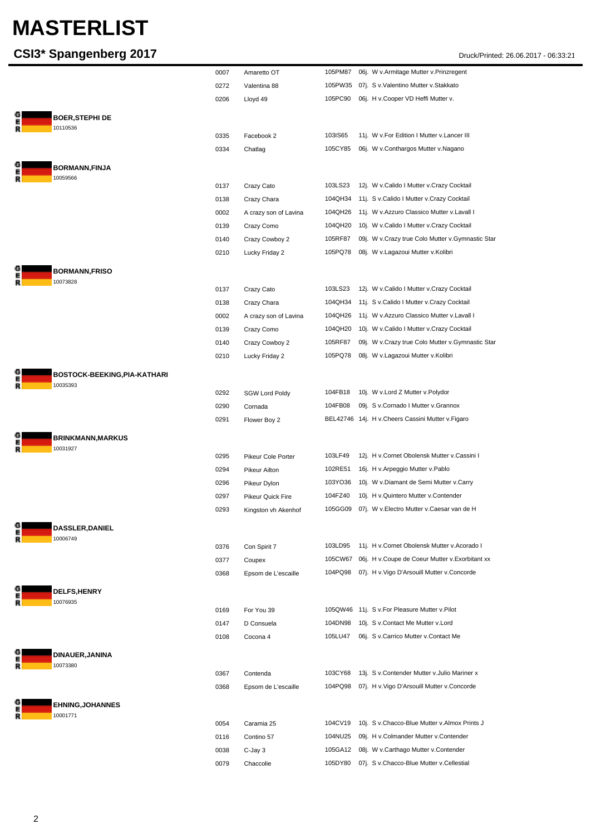|             |                                          | 0007 | Amaretto OT           | 105PM87 | 06j. W v.Armitage Mutter v.Prinzregent              |
|-------------|------------------------------------------|------|-----------------------|---------|-----------------------------------------------------|
|             |                                          | 0272 | Valentina 88          | 105PW35 | 07j. S v. Valentino Mutter v. Stakkato              |
|             |                                          | 0206 | Lloyd 49              | 105PC90 | 06j. H v.Cooper VD Heffi Mutter v.                  |
|             |                                          |      |                       |         |                                                     |
| E<br>R      | <b>BOER,STEPHI DE</b><br>10110536        |      |                       |         |                                                     |
|             |                                          | 0335 | Facebook 2            | 103IS65 | 11j. W v.For Edition I Mutter v.Lancer III          |
|             |                                          | 0334 | Chatlag               | 105CY85 | 06j. W v.Conthargos Mutter v.Nagano                 |
|             |                                          |      |                       |         |                                                     |
| G<br>E<br>R | <b>BORMANN,FINJA</b><br>10059566         |      |                       |         |                                                     |
|             |                                          | 0137 | Crazy Cato            | 103LS23 | 12j. W v.Calido I Mutter v.Crazy Cocktail           |
|             |                                          | 0138 | Crazy Chara           | 104QH34 | 11j. S v.Calido I Mutter v.Crazy Cocktail           |
|             |                                          | 0002 | A crazy son of Lavina | 104QH26 | 11j. W v.Azzuro Classico Mutter v.Lavall I          |
|             |                                          | 0139 | Crazy Como            | 104QH20 | 10j. W v.Calido I Mutter v.Crazy Cocktail           |
|             |                                          | 0140 | Crazy Cowboy 2        | 105RF87 | 09j. W v.Crazy true Colo Mutter v.Gymnastic Star    |
|             |                                          | 0210 | Lucky Friday 2        | 105PQ78 | 08j. W v.Lagazoui Mutter v.Kolibri                  |
|             |                                          |      |                       |         |                                                     |
| E<br>R      | <b>BORMANN,FRISO</b><br>10073828         |      |                       |         |                                                     |
|             |                                          | 0137 | Crazy Cato            | 103LS23 | 12j. W v.Calido I Mutter v.Crazy Cocktail           |
|             |                                          | 0138 | Crazy Chara           | 104QH34 | 11j. S v.Calido I Mutter v.Crazy Cocktail           |
|             |                                          | 0002 | A crazy son of Lavina | 104QH26 | 11j. W v.Azzuro Classico Mutter v.Lavall I          |
|             |                                          | 0139 | Crazy Como            | 104QH20 | 10j. W v.Calido I Mutter v.Crazy Cocktail           |
|             |                                          | 0140 | Crazy Cowboy 2        | 105RF87 | 09j. W v.Crazy true Colo Mutter v.Gymnastic Star    |
|             |                                          | 0210 | Lucky Friday 2        | 105PQ78 | 08j. W v.Lagazoui Mutter v.Kolibri                  |
|             |                                          |      |                       |         |                                                     |
| E<br>R      | BOSTOCK-BEEKING, PIA-KATHARI<br>10035393 |      |                       |         |                                                     |
|             |                                          | 0292 | <b>SGW Lord Poldy</b> | 104FB18 | 10j. W v.Lord Z Mutter v.Polydor                    |
|             |                                          | 0290 | Cornada               | 104FB08 | 09j. S v.Cornado I Mutter v.Grannox                 |
|             |                                          | 0291 | Flower Boy 2          |         | BEL42746 14j. H v. Cheers Cassini Mutter v. Figaro  |
|             |                                          |      |                       |         |                                                     |
| E<br>R      | <b>BRINKMANN, MARKUS</b><br>10031927     |      |                       |         |                                                     |
|             |                                          | 0295 | Pikeur Cole Porter    | 103LF49 | 12j. H v.Cornet Obolensk Mutter v.Cassini I         |
|             |                                          | 0294 | Pikeur Ailton         | 102RE51 | 16j. H v. Arpeggio Mutter v. Pablo                  |
|             |                                          | 0296 | Pikeur Dylon          | 103YO36 | 10j. W v.Diamant de Semi Mutter v.Carry             |
|             |                                          | 0297 | Pikeur Quick Fire     | 104FZ40 | 10j. H v. Quintero Mutter v. Contender              |
|             |                                          | 0293 | Kingston vh Akenhot   |         | 105GG09 07j. W v. Electro Mutter v. Caesar van de H |
|             | <b>DASSLER, DANIEL</b>                   |      |                       |         |                                                     |
| R           | 10006749                                 |      |                       |         |                                                     |
|             |                                          | 0376 | Con Spirit 7          | 103LD95 | 11j. H v.Cornet Obolensk Mutter v.Acorado I         |
|             |                                          | 0377 | Coupex                | 105CW67 | 06j. H v.Coupe de Coeur Mutter v.Exorbitant xx      |
|             |                                          | 0368 | Epsom de L'escaille   | 104PQ98 | 07j. H v. Vigo D'Arsouill Mutter v. Concorde        |
| G           | <b>DELFS,HENRY</b>                       |      |                       |         |                                                     |
| E<br>R      | 10076935                                 |      |                       |         |                                                     |
|             |                                          | 0169 | For You 39            |         | 105QW46 11j. S v.For Pleasure Mutter v.Pilot        |
|             |                                          | 0147 | D Consuela            | 104DN98 | 10j. S v.Contact Me Mutter v.Lord                   |
|             |                                          | 0108 | Cocona 4              | 105LU47 | 06j. S v.Carrico Mutter v.Contact Me                |
| G           | <b>DINAUER,JANINA</b>                    |      |                       |         |                                                     |
| E<br>R      | 10073380                                 |      |                       |         |                                                     |
|             |                                          | 0367 | Contenda              | 103CY68 | 13j. S v.Contender Mutter v.Julio Mariner x         |
|             |                                          | 0368 | Epsom de L'escaille   | 104PQ98 | 07j. H v. Vigo D'Arsouill Mutter v. Concorde        |
|             | <b>EHNING, JOHANNES</b>                  |      |                       |         |                                                     |
| Е<br>R      | 10001771                                 |      |                       |         |                                                     |
|             |                                          | 0054 | Caramia 25            | 104CV19 | 10j. S v.Chacco-Blue Mutter v.Almox Prints J        |
|             |                                          | 0116 | Contino 57            | 104NU25 | 09j. H v.Colmander Mutter v.Contender               |
|             |                                          | 0038 | C-Jay 3               | 105GA12 | 08j. W v.Carthago Mutter v.Contender                |
|             |                                          | 0079 | Chaccolie             | 105DY80 | 07j. S v.Chacco-Blue Mutter v.Cellestial            |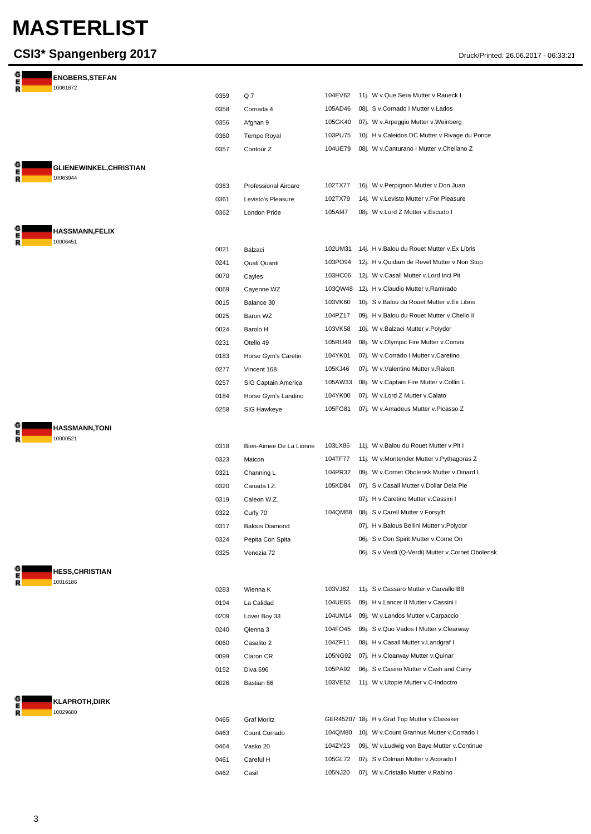| G<br>Е | <b>ENGBERS, STEFAN</b>                     |      |                         |         |                                                   |
|--------|--------------------------------------------|------|-------------------------|---------|---------------------------------------------------|
| R      | 10061672                                   | 0359 | Q7                      | 104EV62 | 11j. W v.Que Sera Mutter v.Raueck I               |
|        |                                            | 0358 | Cornada 4               | 105AD46 | 08j. S v.Cornado I Mutter v.Lados                 |
|        |                                            | 0356 | Afghan 9                | 105GK40 | 07j. W v.Arpeggio Mutter v.Weinberg               |
|        |                                            | 0360 | Tempo Royal             | 103PU75 | 10j. H v.Caleidos DC Mutter v.Rivage du Ponce     |
|        |                                            | 0357 | Contour Z               | 104UE79 | 08j. W v.Canturano I Mutter v.Chellano Z          |
|        |                                            |      |                         |         |                                                   |
|        | <b>GLIENEWINKEL, CHRISTIAN</b><br>10063944 |      |                         |         |                                                   |
|        |                                            | 0363 | Professional Aircare    | 102TX77 | 16j. W v. Perpignon Mutter v. Don Juan            |
|        |                                            | 0361 | Levisto's Pleasure      | 102TX79 | 14j. W v.Levisto Mutter v.For Pleasure            |
|        |                                            | 0362 | London Pride            | 105AI47 | 08j. W v.Lord Z Mutter v.Escudo I                 |
|        | <b>HASSMANN,FELIX</b>                      |      |                         |         |                                                   |
|        | 10006451                                   | 0021 | Balzaci                 | 102UM31 | 14j. H v. Balou du Rouet Mutter v. Ex Libris      |
|        |                                            | 0241 | Quali Quanti            | 103PO94 | 12j. H v. Quidam de Revel Mutter v. Non Stop      |
|        |                                            | 0070 | Cayles                  | 103HC06 | 12j. W v.Casall Mutter v.Lord Inci Pit            |
|        |                                            | 0069 | Cayenne WZ              | 103QW48 | 12j. H v.Claudio Mutter v.Ramirado                |
|        |                                            | 0015 | Balance 30              | 103VK60 | 10j. S v. Balou du Rouet Mutter v. Ex Libris      |
|        |                                            | 0025 | Baron WZ                | 104PZ17 | 09j. H v.Balou du Rouet Mutter v.Chello II        |
|        |                                            | 0024 | Barolo H                | 103VK58 | 10j. W v.Balzaci Mutter v.Polydor                 |
|        |                                            | 0231 | Otello 49               | 105RU49 | 08j. W v.Olympic Fire Mutter v.Convoi             |
|        |                                            | 0183 | Horse Gym's Caretin     | 104YK01 | 07j. W v.Corrado I Mutter v.Caretino              |
|        |                                            | 0277 | Vincent 168             | 105KJ46 | 07j. W v.Valentino Mutter v.Rakett                |
|        |                                            | 0257 | SIG Captain America     | 105AW33 | 08j. W v.Captain Fire Mutter v.Collin L           |
|        |                                            | 0184 | Horse Gym's Landino     | 104YK00 | 07j. W v.Lord Z Mutter v.Calato                   |
|        |                                            | 0258 | SIG Hawkeye             | 105FG81 | 07j. W v.Amadeus Mutter v.Picasso Z               |
|        | <b>HASSMANN,TONI</b>                       |      |                         |         |                                                   |
|        | 10000521                                   |      |                         |         |                                                   |
|        |                                            | 0318 | Bien-Aimee De La Lionne | 103LX86 | 11j. W v.Balou du Rouet Mutter v.Pit I            |
|        |                                            | 0323 | Maicon                  | 104TF77 | 11j. W v.Montender Mutter v.Pythagoras Z          |
|        |                                            | 0321 | Channing L              | 104PR32 | 09j. W v.Cornet Obolensk Mutter v.Dinard L        |
|        |                                            | 0320 | Canada I.Z.             | 105KD84 | 07j. S v.Casall Mutter v.Dollar Dela Pie          |
|        |                                            | 0319 | Caleon W.Z.             |         | 07j. H v.Caretino Mutter v.Cassini I              |
|        |                                            | 0322 | Curly 70                |         | 104QM68 08j. S v.Carell Mutter v.Forsyth          |
|        |                                            | 0317 | <b>Balous Diamond</b>   |         | 07j. H v.Balous Bellini Mutter v.Polydor          |
|        |                                            | 0324 | Pepita Con Spita        |         | 06j. S v.Con Spirit Mutter v.Come On              |
|        |                                            | 0325 | Venezia 72              |         | 06j. S v.Verdi (Q-Verdi) Mutter v.Cornet Obolensk |
|        | <b>HESS,CHRISTIAN</b>                      |      |                         |         |                                                   |
|        | 10016186                                   | 0283 | Wienna K                | 103VJ62 | 11j. S v.Cassaro Mutter v.Carvallo BB             |
|        |                                            | 0194 | La Calidad              | 104UE65 | 09j. H v.Lancer II Mutter v.Cassini I             |
|        |                                            | 0209 | Lover Boy 33            | 104UM14 | 09j. W v.Landos Mutter v.Carpaccio                |
|        |                                            | 0240 | Qienna 3                | 104FO45 | 09j. S v. Quo Vados I Mutter v. Clearway          |
|        |                                            | 0060 | Casalito 2              | 104ZF11 | 08j. H v.Casall Mutter v.Landgraf I               |
|        |                                            | 0099 | Claron CR               |         | 105NG92 07j. H v.Clearway Mutter v.Quinar         |
|        |                                            | 0152 | Diva 596                | 105PA92 | 06j. S v.Casino Mutter v.Cash and Carry           |
|        |                                            | 0026 | Bastian 86              |         | 103VE52 11j. W v.Utopie Mutter v.C-Indoctro       |
|        | <b>KLAPROTH,DIRK</b>                       |      |                         |         |                                                   |
|        | 10029680                                   |      |                         |         |                                                   |
|        |                                            | 0465 | <b>Graf Moritz</b>      |         | GER45207 18j. H v.Graf Top Mutter v.Classiker     |
|        |                                            | 0463 | Count Corrado           |         | 104QM80 10j. W v.Count Grannus Mutter v.Corrado I |
|        |                                            | 0464 | Vasko 20                | 104ZY23 | 09j. W v.Ludwig von Baye Mutter v.Continue        |
|        |                                            | 0461 | Careful H               | 105GL72 | 07j. S v.Colman Mutter v.Acorado I                |
|        |                                            | 0462 | Casil                   | 105NJ20 | 07j. W v.Cristallo Mutter v.Rabino                |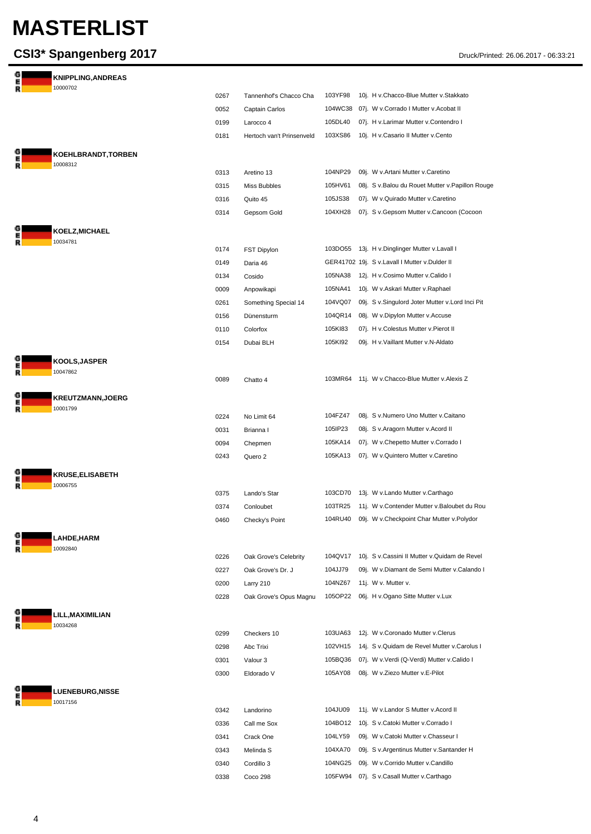| G<br>R      | <b>KNIPPLING, ANDREAS</b>  |      |                                          |         |                                                     |
|-------------|----------------------------|------|------------------------------------------|---------|-----------------------------------------------------|
|             | 10000702                   | 0267 |                                          | 103YF98 | 10j. H v.Chacco-Blue Mutter v.Stakkato              |
|             |                            | 0052 | Tannenhof's Chacco Cha<br>Captain Carlos | 104WC38 | 07j. W v.Corrado I Mutter v.Acobat II               |
|             |                            | 0199 | Larocco 4                                | 105DL40 | 07j. H v.Larimar Mutter v.Contendro I               |
|             |                            | 0181 | Hertoch van't Prinsenveld                | 103XS86 | 10j. H v.Casario II Mutter v.Cento                  |
|             |                            |      |                                          |         |                                                     |
| G           | KOEHLBRANDT, TORBEN        |      |                                          |         |                                                     |
| R           | 10008312                   | 0313 | Aretino 13                               | 104NP29 | 09j. W v.Artani Mutter v.Caretino                   |
|             |                            | 0315 | Miss Bubbles                             | 105HV61 | 08j. S v.Balou du Rouet Mutter v.Papillon Rouge     |
|             |                            | 0316 | Quito 45                                 | 105JS38 | 07j. W v.Quirado Mutter v.Caretino                  |
|             |                            | 0314 | Gepsom Gold                              | 104XH28 | 07j. S v.Gepsom Mutter v.Cancoon (Cocoon            |
| G           |                            |      |                                          |         |                                                     |
| R           | KOELZ, MICHAEL<br>10034781 |      |                                          |         |                                                     |
|             |                            | 0174 | FST Dipylon                              |         | 103DO55 13j. H v.Dinglinger Mutter v.Lavall I       |
|             |                            | 0149 | Daria 46                                 |         | GER41702 19j. S v. Lavall I Mutter v. Dulder II     |
|             |                            | 0134 | Cosido                                   | 105NA38 | 12j. H v.Cosimo Mutter v.Calido I                   |
|             |                            | 0009 | Anpowikapi                               | 105NA41 | 10j. W v.Askari Mutter v.Raphael                    |
|             |                            | 0261 | Something Special 14                     | 104VQ07 | 09j. S v.Singulord Joter Mutter v.Lord Inci Pit     |
|             |                            | 0156 | Dünensturm                               | 104QR14 | 08j. W v.Dipylon Mutter v.Accuse                    |
|             |                            | 0110 | Colorfox                                 | 105KI83 | 07j. H v.Colestus Mutter v.Pierot II                |
|             |                            | 0154 | Dubai BLH                                | 105KI92 | 09j. H v. Vaillant Mutter v. N-Aldato               |
|             | KOOLS, JASPER              |      |                                          |         |                                                     |
| E<br>R      | 10047862                   |      |                                          |         |                                                     |
|             |                            | 0089 | Chatto 4                                 |         | 103MR64 11j. W v.Chacco-Blue Mutter v.Alexis Z      |
| G<br>R      | <b>KREUTZMANN, JOERG</b>   |      |                                          |         |                                                     |
|             | 10001799                   |      |                                          |         |                                                     |
|             |                            | 0224 | No Limit 64                              | 104FZ47 | 08j. S v.Numero Uno Mutter v.Caitano                |
|             |                            | 0031 | Brianna I                                | 105IP23 | 08j. S v.Aragorn Mutter v.Acord II                  |
|             |                            | 0094 | Chepmen                                  | 105KA14 | 07j. W v.Chepetto Mutter v.Corrado I                |
|             |                            | 0243 | Quero 2                                  | 105KA13 | 07j. W v.Quintero Mutter v.Caretino                 |
| G<br>E<br>R | <b>KRUSE, ELISABETH</b>    |      |                                          |         |                                                     |
|             | 10006755                   | 0375 | Lando's Star                             |         | 103CD70 13j. W v.Lando Mutter v.Carthago            |
|             |                            | 0374 | Conloubet                                |         | 103TR25 11j. W v.Contender Mutter v.Baloubet du Rou |
|             |                            | 0460 | Checky's Point                           |         | 104RU40 09j. W v.Checkpoint Char Mutter v.Polydor   |
|             |                            |      |                                          |         |                                                     |
| G<br>R      | LAHDE,HARM<br>10092840     |      |                                          |         |                                                     |
|             |                            | 0226 | Oak Grove's Celebrity                    | 104QV17 | 10j. S v.Cassini II Mutter v.Quidam de Revel        |
|             |                            | 0227 | Oak Grove's Dr. J                        | 104JJ79 | 09j. W v.Diamant de Semi Mutter v.Calando I         |
|             |                            | 0200 | Larry 210                                | 104NZ67 | 11j. W v. Mutter v.                                 |
|             |                            | 0228 | Oak Grove's Opus Magnu                   | 105OP22 | 06j. H v.Ogano Sitte Mutter v.Lux                   |
|             | LILL, MAXIMILIAN           |      |                                          |         |                                                     |
|             | 10034268                   |      |                                          |         |                                                     |
|             |                            | 0299 | Checkers 10                              | 103UA63 | 12j. W v.Coronado Mutter v.Clerus                   |
|             |                            | 0298 | Abc Trixi                                | 102VH15 | 14j. S v. Quidam de Revel Mutter v. Carolus I       |
|             |                            | 0301 | Valour 3                                 | 105BQ36 | 07j. W v.Verdi (Q-Verdi) Mutter v.Calido I          |
|             |                            | 0300 | Eldorado V                               | 105AY08 | 08j. W v.Ziezo Mutter v.E-Pilot                     |
|             | LUENEBURG, NISSE           |      |                                          |         |                                                     |
|             | 10017156                   |      |                                          |         |                                                     |
|             |                            | 0342 | Landorino                                | 104JU09 | 11j. W v.Landor S Mutter v.Acord II                 |
|             |                            | 0336 | Call me Sox                              | 104BO12 | 10j. S v.Catoki Mutter v.Corrado I                  |
|             |                            | 0341 | Crack One                                | 104LY59 | 09j. W v.Catoki Mutter v.Chasseur I                 |
|             |                            | 0343 | Melinda S                                | 104XA70 | 09j. S v. Argentinus Mutter v. Santander H          |
|             |                            | 0340 | Cordillo 3                               | 104NG25 | 09j. W v.Corrido Mutter v.Candillo                  |
|             |                            | 0338 | Coco 298                                 |         | 105FW94 07j. S v.Casall Mutter v.Carthago           |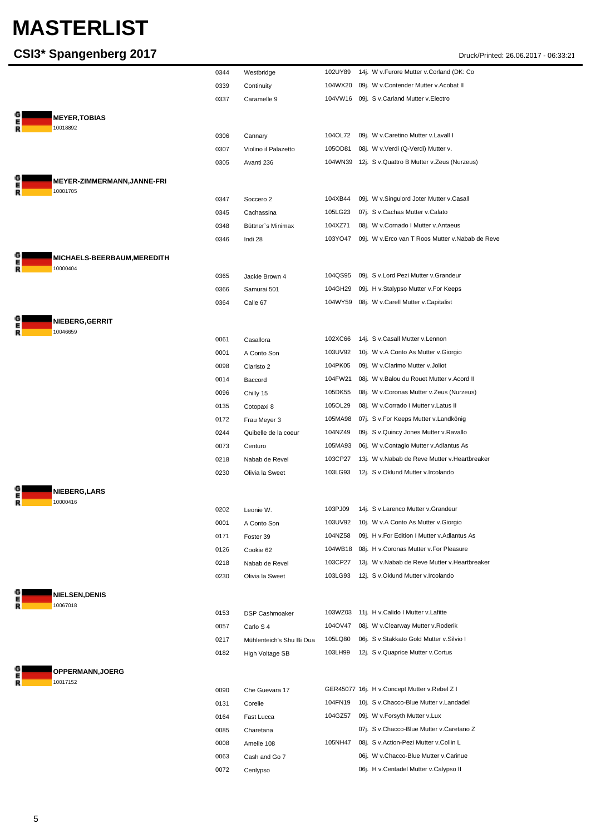| CSI3* Spangenberg 2017            |              |                           |                    | Druck/Printed: 26.06.2017 - 06:33:21                                                  |
|-----------------------------------|--------------|---------------------------|--------------------|---------------------------------------------------------------------------------------|
|                                   | 0344         | Westbridge                | 102UY89            | 14j. W v.Furore Mutter v.Corland (DK: Co                                              |
|                                   | 0339         | Continuity                | 104WX20            | 09j. W v.Contender Mutter v.Acobat II                                                 |
|                                   | 0337         | Caramelle 9               |                    | 104VW16 09j. S v.Carland Mutter v.Electro                                             |
| <b>MEYER,TOBIAS</b>               |              |                           |                    |                                                                                       |
| 10018892                          |              |                           |                    |                                                                                       |
|                                   | 0306         | Cannary                   | 104OL72            | 09j. W v.Caretino Mutter v.Lavall I                                                   |
|                                   | 0307         | Violino il Palazetto      | 105OD81            | 08j. W v.Verdi (Q-Verdi) Mutter v.                                                    |
|                                   | 0305         | Avanti 236                |                    | 104WN39 12j. S v. Quattro B Mutter v. Zeus (Nurzeus)                                  |
| MEYER-ZIMMERMANN,JANNE-FRI        |              |                           |                    |                                                                                       |
| 10001705                          | 0347         | Soccero 2                 | 104XB44            | 09j. W v.Singulord Joter Mutter v.Casall                                              |
|                                   | 0345         | Cachassina                | 105LG23            | 07j. S v.Cachas Mutter v.Calato                                                       |
|                                   | 0348         | Büttner's Minimax         | 104XZ71            | 08j. W v.Cornado I Mutter v.Antaeus                                                   |
|                                   | 0346         | Indi 28                   | 103YO47            | 09j. W v.Erco van T Roos Mutter v.Nabab de Reve                                       |
| <b>MICHAELS-BEERBAUM,MEREDITH</b> |              |                           |                    |                                                                                       |
| R<br>10000404                     | 0365         | Jackie Brown 4            | 104QS95            | 09j. S v.Lord Pezi Mutter v.Grandeur                                                  |
|                                   | 0366         | Samurai 501               | 104GH29            | 09j. H v.Stalypso Mutter v.For Keeps                                                  |
|                                   | 0364         | Calle 67                  |                    | 104WY59 08j. W v.Carell Mutter v.Capitalist                                           |
| <b>NIEBERG,GERRIT</b>             |              |                           |                    |                                                                                       |
| 10046659                          | 0061         | Casallora                 | 102XC66            | 14j. S v.Casall Mutter v.Lennon                                                       |
|                                   | 0001         | A Conto Son               | 103UV92            | 10j. W v.A Conto As Mutter v.Giorgio                                                  |
|                                   | 0098         | Claristo 2                | 104PK05            | 09j. W v.Clarimo Mutter v.Joliot                                                      |
|                                   | 0014         | Baccord                   | 104FW21            | 08j. W v.Balou du Rouet Mutter v.Acord II                                             |
|                                   | 0096         | Chilly 15                 | 105DK55            | 08j. W v.Coronas Mutter v.Zeus (Nurzeus)                                              |
|                                   | 0135         | Cotopaxi 8                | 105OL29            | 08j. W v.Corrado I Mutter v.Latus II                                                  |
|                                   | 0172         | Frau Meyer 3              | 105MA98            | 07j. S v.For Keeps Mutter v.Landkönig                                                 |
|                                   | 0244         | Quibelle de la coeur      | 104NZ49            | 09j. S v. Quincy Jones Mutter v. Ravallo                                              |
|                                   | 0073         | Centuro                   | 105MA93            | 06j. W v.Contagio Mutter v.Adlantus As                                                |
|                                   | 0218         | Nabab de Revel            | 103CP27            | 13j. W v.Nabab de Reve Mutter v.Heartbreaker                                          |
|                                   | 0230         | Olivia la Sweet           | 103LG93            | 12j. S v.Oklund Mutter v.Ircolando                                                    |
| NIEBERG, LARS                     |              |                           |                    |                                                                                       |
| E<br>R<br>10000416                |              |                           |                    |                                                                                       |
|                                   | 0202         | Leonie W.                 | 103PJ09<br>103UV92 | 14j. S v.Larenco Mutter v.Grandeur                                                    |
|                                   | 0001         | A Conto Son<br>Foster 39  | 104NZ58            | 10j. W v.A Conto As Mutter v.Giorgio<br>09j. H v. For Edition I Mutter v. Adlantus As |
|                                   | 0171<br>0126 | Cookie 62                 | 104WB18            | 08j. H v.Coronas Mutter v.For Pleasure                                                |
|                                   | 0218         | Nabab de Revel            | 103CP27            | 13j. W v.Nabab de Reve Mutter v.Heartbreaker                                          |
|                                   | 0230         | Olivia la Sweet           | 103LG93            | 12j. S v.Oklund Mutter v.Ircolando                                                    |
|                                   |              |                           |                    |                                                                                       |
| <b>NIELSEN,DENIS</b><br>10067018  |              |                           |                    |                                                                                       |
|                                   | 0153         | DSP Cashmoaker            | 103WZ03            | 11j. H v.Calido I Mutter v.Lafitte                                                    |
|                                   | 0057         | Carlo S 4                 | 104OV47            | 08j. W v.Clearway Mutter v.Roderik                                                    |
|                                   | 0217         | Mühlenteich's Shu Bi Dua  | 105LQ80            | 06j. S v.Stakkato Gold Mutter v.Silvio I                                              |
|                                   | 0182         | High Voltage SB           | 103LH99            | 12j. S v.Quaprice Mutter v.Cortus                                                     |
| OPPERMANN, JOERG                  |              |                           |                    |                                                                                       |
| 10017152                          |              |                           |                    | GER45077 16j. H v.Concept Mutter v.Rebel Z I                                          |
|                                   | 0090         | Che Guevara 17<br>Corelie | 104FN19            | 10j. S v.Chacco-Blue Mutter v.Landadel                                                |
|                                   | 0131<br>0164 | Fast Lucca                | 104GZ57            | 09j. W v.Forsyth Mutter v.Lux                                                         |
|                                   | 0085         | Charetana                 |                    | 07j. S v.Chacco-Blue Mutter v.Caretano Z                                              |
|                                   | 0008         | Amelie 108                | 105NH47            | 08j. S v.Action-Pezi Mutter v.Collin L                                                |
|                                   | 0063         | Cash and Go 7             |                    | 06j. W v.Chacco-Blue Mutter v.Carinue                                                 |
|                                   | 0072         | Cenlypso                  |                    | 06j. H v.Centadel Mutter v.Calypso II                                                 |
|                                   |              |                           |                    |                                                                                       |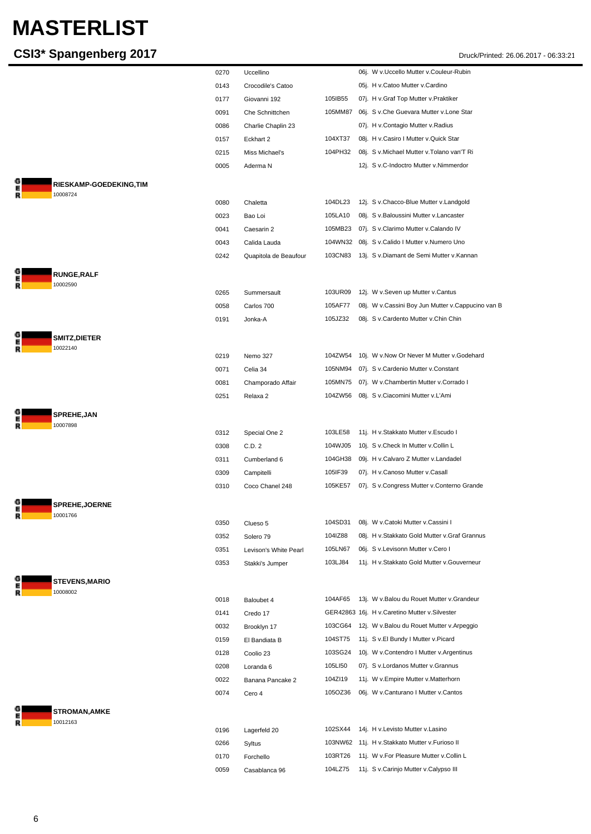#### **CSI3\* Spangenberg 2017** Druck/Printed: 26.06.2017 - 06:33:21

 $\frac{6}{R}$ 

G<br>R

G<br>R

G<br>R

G<br>R<br>R

G<br>R

G<br>R

|                                           | 0270 | Uccellino             |         | 06j. W v.Uccello Mutter v.Couleur-Rubin           |
|-------------------------------------------|------|-----------------------|---------|---------------------------------------------------|
|                                           | 0143 | Crocodile's Catoo     |         | 05j. H v.Catoo Mutter v.Cardino                   |
|                                           | 0177 | Giovanni 192          | 105IB55 | 07j. H v.Graf Top Mutter v.Praktiker              |
|                                           | 0091 | Che Schnittchen       | 105MM87 | 06j. S v.Che Guevara Mutter v.Lone Star           |
|                                           | 0086 | Charlie Chaplin 23    |         | 07j. H v.Contagio Mutter v.Radius                 |
|                                           | 0157 | Eckhart 2             | 104XT37 | 08j. H v.Casiro I Mutter v.Quick Star             |
|                                           | 0215 | Miss Michael's        | 104PH32 | 08j. S v. Michael Mutter v. Tolano van'T Ri       |
|                                           | 0005 | Aderma N              |         | 12j. S v.C-Indoctro Mutter v.Nimmerdor            |
|                                           |      |                       |         |                                                   |
| <b>RIESKAMP-GOEDEKING,TIM</b><br>10008724 |      |                       |         |                                                   |
|                                           | 0080 | Chaletta              | 104DL23 | 12j. S v.Chacco-Blue Mutter v.Landgold            |
|                                           | 0023 | Bao Loi               | 105LA10 | 08j. S v.Baloussini Mutter v.Lancaster            |
|                                           | 0041 | Caesarin 2            | 105MB23 | 07j. S v.Clarimo Mutter v.Calando IV              |
|                                           | 0043 | Calida Lauda          | 104WN32 | 08j. S v.Calido I Mutter v.Numero Uno             |
|                                           | 0242 | Quapitola de Beaufour |         | 103CN83 13j. S v.Diamant de Semi Mutter v.Kannan  |
| <b>RUNGE, RALF</b>                        |      |                       |         |                                                   |
| 10002590                                  |      |                       |         |                                                   |
|                                           | 0265 | Summersault           | 103UR09 | 12j. W v.Seven up Mutter v.Cantus                 |
|                                           | 0058 | Carlos 700            | 105AF77 | 08j. W v.Cassini Boy Jun Mutter v.Cappucino van B |
|                                           | 0191 | Jonka-A               | 105JZ32 | 08j. S v.Cardento Mutter v.Chin Chin              |
| <b>SMITZ, DIETER</b>                      |      |                       |         |                                                   |
| 10022140                                  | 0219 | Nemo 327              | 104ZW54 | 10j. W v.Now Or Never M Mutter v.Godehard         |
|                                           | 0071 | Celia 34              | 105NM94 | 07j. S v.Cardenio Mutter v.Constant               |
|                                           | 0081 | Champorado Affair     | 105MN75 | 07j. W v.Chambertin Mutter v.Corrado I            |
|                                           | 0251 | Relaxa 2              |         | 104ZW56 08j. S v.Ciacomini Mutter v.L'Ami         |
|                                           |      |                       |         |                                                   |
| SPREHE, JAN<br>10007898                   |      |                       |         |                                                   |
|                                           | 0312 | Special One 2         | 103LE58 | 11j. H v.Stakkato Mutter v.Escudo I               |
|                                           | 0308 | C.D. 2                | 104WJ05 | 10j. S v.Check In Mutter v.Collin L               |
|                                           | 0311 | Cumberland 6          | 104GH38 | 09j. H v.Calvaro Z Mutter v.Landadel              |
|                                           | 0309 | Campitelli            | 105IF39 | 07j. H v.Canoso Mutter v.Casall                   |
|                                           | 0310 | Coco Chanel 248       | 105KE57 | 07j. S v.Congress Mutter v.Conterno Grande        |
| SPREHE, JOERNE                            |      |                       |         |                                                   |
| 10001766                                  |      |                       |         |                                                   |
|                                           | 0350 | Clueso 5              | 104SD31 | 08j. W v.Catoki Mutter v.Cassini I                |
|                                           | 0352 | Solero 79             | 104IZ88 | 08j. H v.Stakkato Gold Mutter v.Graf Grannus      |
|                                           | 0351 | Levison's White Pearl | 105LN67 | 06j. S v.Levisonn Mutter v.Cero I                 |
|                                           | 0353 | Stakki's Jumper       | 103LJ84 | 11j. H v.Stakkato Gold Mutter v.Gouverneur        |
| <b>STEVENS, MARIO</b>                     |      |                       |         |                                                   |
| 10008002                                  | 0018 | Baloubet 4            | 104AF65 | 13j. W v.Balou du Rouet Mutter v.Grandeur         |
|                                           | 0141 | Credo 17              |         | GER42863 16j. H v.Caretino Mutter v.Silvester     |
|                                           | 0032 | Brooklyn 17           | 103CG64 | 12j. W v.Balou du Rouet Mutter v.Arpeggio         |
|                                           | 0159 | El Bandiata B         | 104ST75 | 11j. S v.El Bundy I Mutter v.Picard               |
|                                           | 0128 | Coolio 23             | 103SG24 | 10j. W v.Contendro I Mutter v.Argentinus          |
|                                           | 0208 | Loranda 6             | 105LI50 | 07j. S v.Lordanos Mutter v.Grannus                |
|                                           | 0022 | Banana Pancake 2      | 104ZI19 | 11j. W v. Empire Mutter v. Matterhorn             |
|                                           | 0074 | Cero 4                | 105OZ36 | 06j. W v.Canturano I Mutter v.Cantos              |
|                                           |      |                       |         |                                                   |
| <b>STROMAN, AMKE</b><br>10012163          |      |                       |         |                                                   |
|                                           | 0196 | Lagerfeld 20          | 102SX44 | 14j. H v. Levisto Mutter v. Lasino                |
|                                           | 0266 | Syltus                | 103NW62 | 11j. H v.Stakkato Mutter v.Furioso II             |
|                                           | 0170 | Forchello             | 103RT26 | 11j. W v.For Pleasure Mutter v.Collin L           |
|                                           | 0059 | Casablanca 96         | 104LZ75 | 11j. S v.Carinjo Mutter v.Calypso III             |
|                                           |      |                       |         |                                                   |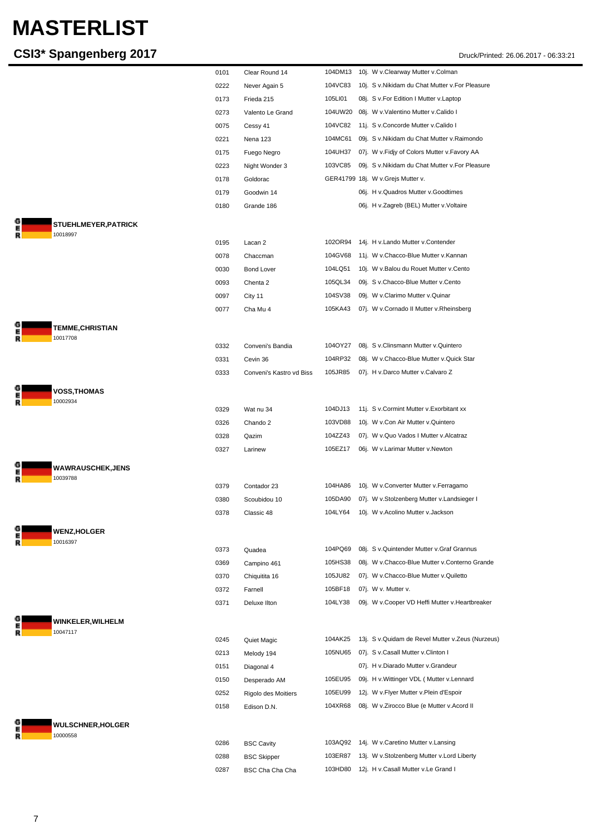|                          | 0101 | Clear Round 14           | 104DM13 | 10j. W v.Clearway Mutter v.Colman                  |
|--------------------------|------|--------------------------|---------|----------------------------------------------------|
|                          | 0222 | Never Again 5            | 104VC83 | 10j. S v. Nikidam du Chat Mutter v. For Pleasure   |
|                          | 0173 | Frieda 215               | 105LI01 | 08j. S v.For Edition I Mutter v.Laptop             |
|                          | 0273 | Valento Le Grand         |         | 104UW20 08j. W v.Valentino Mutter v.Calido I       |
|                          | 0075 | Cessy 41                 | 104VC82 | 11j. S v.Concorde Mutter v.Calido I                |
|                          | 0221 | Nena 123                 | 104MC61 | 09j. S v.Nikidam du Chat Mutter v.Raimondo         |
|                          | 0175 | Fuego Negro              | 104UH37 | 07j. W v.Fidjy of Colors Mutter v.Favory AA        |
|                          | 0223 | Night Wonder 3           | 103VC85 | 09j. S v. Nikidam du Chat Mutter v. For Pleasure   |
|                          | 0178 |                          |         | GER41799 18j. W v.Grejs Mutter v.                  |
|                          |      | Goldorac                 |         |                                                    |
|                          | 0179 | Goodwin 14               |         | 06j. H v. Quadros Mutter v. Goodtimes              |
|                          | 0180 | Grande 186               |         | 06j. H v.Zagreb (BEL) Mutter v.Voltaire            |
| STUEHLMEYER, PATRICK     |      |                          |         |                                                    |
| 10018997                 |      |                          | 102OR94 |                                                    |
|                          | 0195 | Lacan 2                  |         | 14j. H v.Lando Mutter v.Contender                  |
|                          | 0078 | Chaccman                 | 104GV68 | 11j. W v.Chacco-Blue Mutter v.Kannan               |
|                          | 0030 | <b>Bond Lover</b>        | 104LQ51 | 10j. W v.Balou du Rouet Mutter v.Cento             |
|                          | 0093 | Chenta 2                 | 105QL34 | 09j. S v.Chacco-Blue Mutter v.Cento                |
|                          | 0097 | City 11                  | 104SV38 | 09j. W v.Clarimo Mutter v.Quinar                   |
|                          | 0077 | Cha Mu 4                 | 105KA43 | 07j. W v.Cornado II Mutter v.Rheinsberg            |
| <b>TEMME,CHRISTIAN</b>   |      |                          |         |                                                    |
| 10017708                 |      |                          |         |                                                    |
|                          | 0332 | Conveni's Bandia         | 104OY27 | 08j. S v.Clinsmann Mutter v.Quintero               |
|                          | 0331 | Cevin 36                 | 104RP32 | 08j. W v.Chacco-Blue Mutter v.Quick Star           |
|                          | 0333 | Conveni's Kastro vd Biss | 105JR85 | 07j. H v.Darco Mutter v.Calvaro Z                  |
| <b>VOSS, THOMAS</b>      |      |                          |         |                                                    |
| 10002934                 |      |                          |         |                                                    |
|                          | 0329 | Wat nu 34                | 104DJ13 | 11j. S v.Cormint Mutter v.Exorbitant xx            |
|                          | 0326 | Chando 2                 | 103VD88 | 10j. W v.Con Air Mutter v.Quintero                 |
|                          | 0328 | Qazim                    | 104ZZ43 | 07j. W v.Quo Vados I Mutter v.Alcatraz             |
|                          | 0327 | Larinew                  | 105EZ17 | 06j. W v.Larimar Mutter v.Newton                   |
| <b>WAWRAUSCHEK,JENS</b>  |      |                          |         |                                                    |
| 10039788                 |      |                          |         |                                                    |
|                          | 0379 | Contador 23              | 104HA86 | 10j. W v.Converter Mutter v.Ferragamo              |
|                          | 0380 | Scoubidou 10             | 105DA90 | 07j. W v.Stolzenberg Mutter v.Landsieger I         |
|                          | 0378 | Classic 48               | 104LY64 | 10j. W v.Acolino Mutter v.Jackson                  |
| <b>WENZ, HOLGER</b>      |      |                          |         |                                                    |
| 10016397                 | 0373 | Quadea                   | 104PQ69 | 08j. S v. Quintender Mutter v. Graf Grannus        |
|                          |      |                          | 105HS38 | 08j. W v.Chacco-Blue Mutter v.Conterno Grande      |
|                          | 0369 | Campino 461              |         |                                                    |
|                          | 0370 | Chiquitita 16            | 105JU82 | 07j. W v.Chacco-Blue Mutter v.Quiletto             |
|                          | 0372 | Farnell                  | 105BF18 | 07j. W v. Mutter v.                                |
|                          | 0371 | Deluxe Ilton             | 104LY38 | 09j. W v.Cooper VD Heffi Mutter v.Heartbreaker     |
| WINKELER, WILHELM        |      |                          |         |                                                    |
| 10047117                 | 0245 | Quiet Magic              | 104AK25 | 13j. S v. Quidam de Revel Mutter v. Zeus (Nurzeus) |
|                          | 0213 | Melody 194               | 105NU65 | 07j. S v.Casall Mutter v.Clinton I                 |
|                          |      |                          |         |                                                    |
|                          | 0151 | Diagonal 4               |         | 07j. H v.Diarado Mutter v.Grandeur                 |
|                          | 0150 | Desperado AM             | 105EU95 | 09j. H v. Wittinger VDL (Mutter v. Lennard         |
|                          | 0252 | Rigolo des Moitiers      | 105EU99 | 12j. W v.Flyer Mutter v.Plein d'Espoir             |
|                          | 0158 | Edison D.N.              | 104XR68 | 08j. W v.Zirocco Blue (e Mutter v.Acord II         |
| <b>WULSCHNER, HOLGER</b> |      |                          |         |                                                    |
| 10000558                 | 0286 | <b>BSC Cavity</b>        | 103AQ92 | 14j. W v.Caretino Mutter v.Lansing                 |
|                          |      |                          |         |                                                    |
|                          | 0288 | <b>BSC Skipper</b>       | 103ER87 | 13j. W v.Stolzenberg Mutter v.Lord Liberty         |
|                          | 0287 | BSC Cha Cha Cha          | 103HD80 | 12j. H v.Casall Mutter v.Le Grand I                |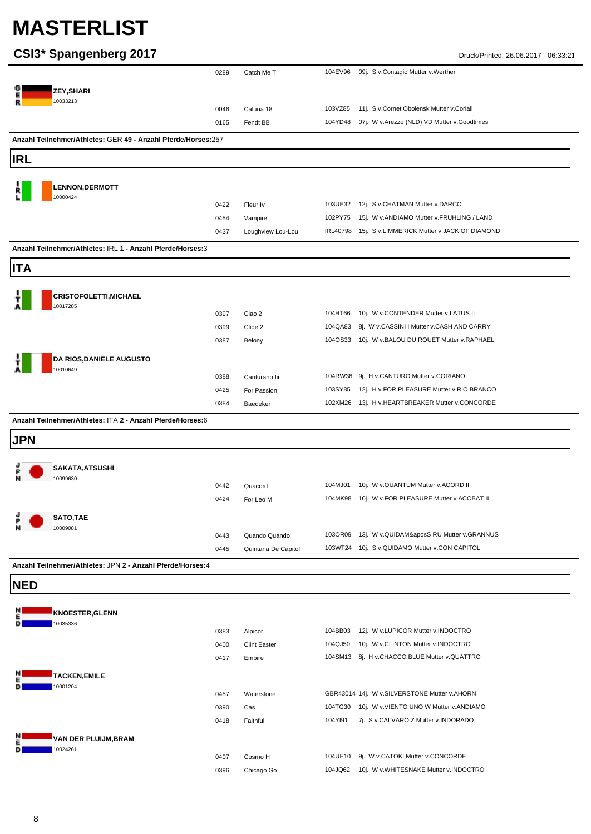#### **CSI3\* Spangenberg 2017** Druck/Printed: 26.06.2017 - 06:33:21

| ZEY, SHARI<br>10033213<br>103VZ85 11j. S v.Cornet Obolensk Mutter v.Coriall<br>Caluna 18<br>0046<br>07j. W v.Arezzo (NLD) VD Mutter v.Goodtimes<br>Fendt BB<br>104YD48<br>0165<br>Anzahl Teilnehmer/Athletes: GER 49 - Anzahl Pferde/Horses:257<br><b>LENNON, DERMOTT</b><br>10000424<br>103UE32 12j. S v.CHATMAN Mutter v.DARCO<br>0422<br>Fleur Iv<br>102PY75 15j. W v.ANDIAMO Mutter v.FRUHLING / LAND<br>0454<br>Vampire<br>Loughview Lou-Lou<br>IRL40798 15j. S v.LIMMERICK Mutter v.JACK OF DIAMOND<br>0437<br>Anzahl Teilnehmer/Athletes: IRL 1 - Anzahl Pferde/Horses:3<br><b>CRISTOFOLETTI, MICHAEL</b><br>10017285<br>104HT66 10j. W v.CONTENDER Mutter v.LATUS II<br>0397<br>Ciao 2<br>104QA83 8j. W v.CASSINI I Mutter v.CASH AND CARRY<br>Clide 2<br>0399<br>104OS33 10j. W v.BALOU DU ROUET Mutter v.RAPHAEL<br>0387<br>Belony<br>DA RIOS, DANIELE AUGUSTO<br>10010649<br>104RW36 9j. H v.CANTURO Mutter v.CORIANO<br>0388<br>Canturano lii<br>103SY85 12j. H v.FOR PLEASURE Mutter v.RIO BRANCO<br>For Passion<br>0425<br>102XM26 13j. H v.HEARTBREAKER Mutter v.CONCORDE<br>0384<br>Baedeker<br>Anzahl Teilnehmer/Athletes: ITA 2 - Anzahl Pferde/Horses:6<br><b>JPN</b><br>SAKATA, ATSUSHI<br>10099630<br>104MJ01<br>10j. W v.QUANTUM Mutter v.ACORD II<br>0442<br>Quacord<br>104MK98 10j. W v.FOR PLEASURE Mutter v.ACOBAT II<br>0424<br>For Leo M<br>SATO,TAE<br>P<br>10009081<br>103OR09 13j. W v.QUIDAM&aposS RU Mutter v.GRANNUS<br>0443<br>Quando Quando<br>103WT24 10j. S v.QUIDAMO Mutter v.CON CAPITOL<br>0445<br>Quintana De Capitol<br>Anzahl Teilnehmer/Athletes: JPN 2 - Anzahl Pferde/Horses:4<br><b>KNOESTER, GLENN</b><br>10035336<br>104BB03 12j. W v.LUPICOR Mutter v.INDOCTRO<br>0383<br>Alpicor<br><b>Clint Easter</b><br>104QJ50 10j. W v.CLINTON Mutter v.INDOCTRO<br>0400<br>104SM13 8j. H v.CHACCO BLUE Mutter v.QUATTRO<br>0417<br>Empire<br><b>TACKEN, EMILE</b><br>10001204<br>0457<br>GBR43014 14j. W v.SILVERSTONE Mutter v.AHORN<br>Waterstone<br>0390<br>Cas<br>104TG30 10j. W v.VIENTO UNO W Mutter v.ANDIAMO<br>Faithful<br>104YI91<br>7j. S v.CALVARO Z Mutter v.INDORADO<br>0418<br>VAN DER PLUIJM,BRAM<br>10024261 |            | 0289 | Catch Me T | 104EV96 09j. S v.Contagio Mutter v.Werther |
|-------------------------------------------------------------------------------------------------------------------------------------------------------------------------------------------------------------------------------------------------------------------------------------------------------------------------------------------------------------------------------------------------------------------------------------------------------------------------------------------------------------------------------------------------------------------------------------------------------------------------------------------------------------------------------------------------------------------------------------------------------------------------------------------------------------------------------------------------------------------------------------------------------------------------------------------------------------------------------------------------------------------------------------------------------------------------------------------------------------------------------------------------------------------------------------------------------------------------------------------------------------------------------------------------------------------------------------------------------------------------------------------------------------------------------------------------------------------------------------------------------------------------------------------------------------------------------------------------------------------------------------------------------------------------------------------------------------------------------------------------------------------------------------------------------------------------------------------------------------------------------------------------------------------------------------------------------------------------------------------------------------------------------------------------------------------------------------------------------------------------------------------------------------------------|------------|------|------------|--------------------------------------------|
|                                                                                                                                                                                                                                                                                                                                                                                                                                                                                                                                                                                                                                                                                                                                                                                                                                                                                                                                                                                                                                                                                                                                                                                                                                                                                                                                                                                                                                                                                                                                                                                                                                                                                                                                                                                                                                                                                                                                                                                                                                                                                                                                                                         |            |      |            |                                            |
|                                                                                                                                                                                                                                                                                                                                                                                                                                                                                                                                                                                                                                                                                                                                                                                                                                                                                                                                                                                                                                                                                                                                                                                                                                                                                                                                                                                                                                                                                                                                                                                                                                                                                                                                                                                                                                                                                                                                                                                                                                                                                                                                                                         |            |      |            |                                            |
|                                                                                                                                                                                                                                                                                                                                                                                                                                                                                                                                                                                                                                                                                                                                                                                                                                                                                                                                                                                                                                                                                                                                                                                                                                                                                                                                                                                                                                                                                                                                                                                                                                                                                                                                                                                                                                                                                                                                                                                                                                                                                                                                                                         |            |      |            |                                            |
|                                                                                                                                                                                                                                                                                                                                                                                                                                                                                                                                                                                                                                                                                                                                                                                                                                                                                                                                                                                                                                                                                                                                                                                                                                                                                                                                                                                                                                                                                                                                                                                                                                                                                                                                                                                                                                                                                                                                                                                                                                                                                                                                                                         |            |      |            |                                            |
|                                                                                                                                                                                                                                                                                                                                                                                                                                                                                                                                                                                                                                                                                                                                                                                                                                                                                                                                                                                                                                                                                                                                                                                                                                                                                                                                                                                                                                                                                                                                                                                                                                                                                                                                                                                                                                                                                                                                                                                                                                                                                                                                                                         |            |      |            |                                            |
|                                                                                                                                                                                                                                                                                                                                                                                                                                                                                                                                                                                                                                                                                                                                                                                                                                                                                                                                                                                                                                                                                                                                                                                                                                                                                                                                                                                                                                                                                                                                                                                                                                                                                                                                                                                                                                                                                                                                                                                                                                                                                                                                                                         | IRL        |      |            |                                            |
|                                                                                                                                                                                                                                                                                                                                                                                                                                                                                                                                                                                                                                                                                                                                                                                                                                                                                                                                                                                                                                                                                                                                                                                                                                                                                                                                                                                                                                                                                                                                                                                                                                                                                                                                                                                                                                                                                                                                                                                                                                                                                                                                                                         |            |      |            |                                            |
|                                                                                                                                                                                                                                                                                                                                                                                                                                                                                                                                                                                                                                                                                                                                                                                                                                                                                                                                                                                                                                                                                                                                                                                                                                                                                                                                                                                                                                                                                                                                                                                                                                                                                                                                                                                                                                                                                                                                                                                                                                                                                                                                                                         |            |      |            |                                            |
|                                                                                                                                                                                                                                                                                                                                                                                                                                                                                                                                                                                                                                                                                                                                                                                                                                                                                                                                                                                                                                                                                                                                                                                                                                                                                                                                                                                                                                                                                                                                                                                                                                                                                                                                                                                                                                                                                                                                                                                                                                                                                                                                                                         |            |      |            |                                            |
|                                                                                                                                                                                                                                                                                                                                                                                                                                                                                                                                                                                                                                                                                                                                                                                                                                                                                                                                                                                                                                                                                                                                                                                                                                                                                                                                                                                                                                                                                                                                                                                                                                                                                                                                                                                                                                                                                                                                                                                                                                                                                                                                                                         |            |      |            |                                            |
|                                                                                                                                                                                                                                                                                                                                                                                                                                                                                                                                                                                                                                                                                                                                                                                                                                                                                                                                                                                                                                                                                                                                                                                                                                                                                                                                                                                                                                                                                                                                                                                                                                                                                                                                                                                                                                                                                                                                                                                                                                                                                                                                                                         |            |      |            |                                            |
|                                                                                                                                                                                                                                                                                                                                                                                                                                                                                                                                                                                                                                                                                                                                                                                                                                                                                                                                                                                                                                                                                                                                                                                                                                                                                                                                                                                                                                                                                                                                                                                                                                                                                                                                                                                                                                                                                                                                                                                                                                                                                                                                                                         |            |      |            |                                            |
|                                                                                                                                                                                                                                                                                                                                                                                                                                                                                                                                                                                                                                                                                                                                                                                                                                                                                                                                                                                                                                                                                                                                                                                                                                                                                                                                                                                                                                                                                                                                                                                                                                                                                                                                                                                                                                                                                                                                                                                                                                                                                                                                                                         | <b>ITA</b> |      |            |                                            |
|                                                                                                                                                                                                                                                                                                                                                                                                                                                                                                                                                                                                                                                                                                                                                                                                                                                                                                                                                                                                                                                                                                                                                                                                                                                                                                                                                                                                                                                                                                                                                                                                                                                                                                                                                                                                                                                                                                                                                                                                                                                                                                                                                                         |            |      |            |                                            |
|                                                                                                                                                                                                                                                                                                                                                                                                                                                                                                                                                                                                                                                                                                                                                                                                                                                                                                                                                                                                                                                                                                                                                                                                                                                                                                                                                                                                                                                                                                                                                                                                                                                                                                                                                                                                                                                                                                                                                                                                                                                                                                                                                                         |            |      |            |                                            |
|                                                                                                                                                                                                                                                                                                                                                                                                                                                                                                                                                                                                                                                                                                                                                                                                                                                                                                                                                                                                                                                                                                                                                                                                                                                                                                                                                                                                                                                                                                                                                                                                                                                                                                                                                                                                                                                                                                                                                                                                                                                                                                                                                                         |            |      |            |                                            |
|                                                                                                                                                                                                                                                                                                                                                                                                                                                                                                                                                                                                                                                                                                                                                                                                                                                                                                                                                                                                                                                                                                                                                                                                                                                                                                                                                                                                                                                                                                                                                                                                                                                                                                                                                                                                                                                                                                                                                                                                                                                                                                                                                                         |            |      |            |                                            |
|                                                                                                                                                                                                                                                                                                                                                                                                                                                                                                                                                                                                                                                                                                                                                                                                                                                                                                                                                                                                                                                                                                                                                                                                                                                                                                                                                                                                                                                                                                                                                                                                                                                                                                                                                                                                                                                                                                                                                                                                                                                                                                                                                                         |            |      |            |                                            |
|                                                                                                                                                                                                                                                                                                                                                                                                                                                                                                                                                                                                                                                                                                                                                                                                                                                                                                                                                                                                                                                                                                                                                                                                                                                                                                                                                                                                                                                                                                                                                                                                                                                                                                                                                                                                                                                                                                                                                                                                                                                                                                                                                                         |            |      |            |                                            |
|                                                                                                                                                                                                                                                                                                                                                                                                                                                                                                                                                                                                                                                                                                                                                                                                                                                                                                                                                                                                                                                                                                                                                                                                                                                                                                                                                                                                                                                                                                                                                                                                                                                                                                                                                                                                                                                                                                                                                                                                                                                                                                                                                                         |            |      |            |                                            |
|                                                                                                                                                                                                                                                                                                                                                                                                                                                                                                                                                                                                                                                                                                                                                                                                                                                                                                                                                                                                                                                                                                                                                                                                                                                                                                                                                                                                                                                                                                                                                                                                                                                                                                                                                                                                                                                                                                                                                                                                                                                                                                                                                                         |            |      |            |                                            |
|                                                                                                                                                                                                                                                                                                                                                                                                                                                                                                                                                                                                                                                                                                                                                                                                                                                                                                                                                                                                                                                                                                                                                                                                                                                                                                                                                                                                                                                                                                                                                                                                                                                                                                                                                                                                                                                                                                                                                                                                                                                                                                                                                                         |            |      |            |                                            |
|                                                                                                                                                                                                                                                                                                                                                                                                                                                                                                                                                                                                                                                                                                                                                                                                                                                                                                                                                                                                                                                                                                                                                                                                                                                                                                                                                                                                                                                                                                                                                                                                                                                                                                                                                                                                                                                                                                                                                                                                                                                                                                                                                                         |            |      |            |                                            |
|                                                                                                                                                                                                                                                                                                                                                                                                                                                                                                                                                                                                                                                                                                                                                                                                                                                                                                                                                                                                                                                                                                                                                                                                                                                                                                                                                                                                                                                                                                                                                                                                                                                                                                                                                                                                                                                                                                                                                                                                                                                                                                                                                                         |            |      |            |                                            |
|                                                                                                                                                                                                                                                                                                                                                                                                                                                                                                                                                                                                                                                                                                                                                                                                                                                                                                                                                                                                                                                                                                                                                                                                                                                                                                                                                                                                                                                                                                                                                                                                                                                                                                                                                                                                                                                                                                                                                                                                                                                                                                                                                                         |            |      |            |                                            |
|                                                                                                                                                                                                                                                                                                                                                                                                                                                                                                                                                                                                                                                                                                                                                                                                                                                                                                                                                                                                                                                                                                                                                                                                                                                                                                                                                                                                                                                                                                                                                                                                                                                                                                                                                                                                                                                                                                                                                                                                                                                                                                                                                                         |            |      |            |                                            |
|                                                                                                                                                                                                                                                                                                                                                                                                                                                                                                                                                                                                                                                                                                                                                                                                                                                                                                                                                                                                                                                                                                                                                                                                                                                                                                                                                                                                                                                                                                                                                                                                                                                                                                                                                                                                                                                                                                                                                                                                                                                                                                                                                                         |            |      |            |                                            |
|                                                                                                                                                                                                                                                                                                                                                                                                                                                                                                                                                                                                                                                                                                                                                                                                                                                                                                                                                                                                                                                                                                                                                                                                                                                                                                                                                                                                                                                                                                                                                                                                                                                                                                                                                                                                                                                                                                                                                                                                                                                                                                                                                                         |            |      |            |                                            |
|                                                                                                                                                                                                                                                                                                                                                                                                                                                                                                                                                                                                                                                                                                                                                                                                                                                                                                                                                                                                                                                                                                                                                                                                                                                                                                                                                                                                                                                                                                                                                                                                                                                                                                                                                                                                                                                                                                                                                                                                                                                                                                                                                                         |            |      |            |                                            |
|                                                                                                                                                                                                                                                                                                                                                                                                                                                                                                                                                                                                                                                                                                                                                                                                                                                                                                                                                                                                                                                                                                                                                                                                                                                                                                                                                                                                                                                                                                                                                                                                                                                                                                                                                                                                                                                                                                                                                                                                                                                                                                                                                                         |            |      |            |                                            |
|                                                                                                                                                                                                                                                                                                                                                                                                                                                                                                                                                                                                                                                                                                                                                                                                                                                                                                                                                                                                                                                                                                                                                                                                                                                                                                                                                                                                                                                                                                                                                                                                                                                                                                                                                                                                                                                                                                                                                                                                                                                                                                                                                                         |            |      |            |                                            |
|                                                                                                                                                                                                                                                                                                                                                                                                                                                                                                                                                                                                                                                                                                                                                                                                                                                                                                                                                                                                                                                                                                                                                                                                                                                                                                                                                                                                                                                                                                                                                                                                                                                                                                                                                                                                                                                                                                                                                                                                                                                                                                                                                                         |            |      |            |                                            |
|                                                                                                                                                                                                                                                                                                                                                                                                                                                                                                                                                                                                                                                                                                                                                                                                                                                                                                                                                                                                                                                                                                                                                                                                                                                                                                                                                                                                                                                                                                                                                                                                                                                                                                                                                                                                                                                                                                                                                                                                                                                                                                                                                                         |            |      |            |                                            |
|                                                                                                                                                                                                                                                                                                                                                                                                                                                                                                                                                                                                                                                                                                                                                                                                                                                                                                                                                                                                                                                                                                                                                                                                                                                                                                                                                                                                                                                                                                                                                                                                                                                                                                                                                                                                                                                                                                                                                                                                                                                                                                                                                                         |            |      |            |                                            |
|                                                                                                                                                                                                                                                                                                                                                                                                                                                                                                                                                                                                                                                                                                                                                                                                                                                                                                                                                                                                                                                                                                                                                                                                                                                                                                                                                                                                                                                                                                                                                                                                                                                                                                                                                                                                                                                                                                                                                                                                                                                                                                                                                                         | <b>NED</b> |      |            |                                            |
|                                                                                                                                                                                                                                                                                                                                                                                                                                                                                                                                                                                                                                                                                                                                                                                                                                                                                                                                                                                                                                                                                                                                                                                                                                                                                                                                                                                                                                                                                                                                                                                                                                                                                                                                                                                                                                                                                                                                                                                                                                                                                                                                                                         |            |      |            |                                            |
|                                                                                                                                                                                                                                                                                                                                                                                                                                                                                                                                                                                                                                                                                                                                                                                                                                                                                                                                                                                                                                                                                                                                                                                                                                                                                                                                                                                                                                                                                                                                                                                                                                                                                                                                                                                                                                                                                                                                                                                                                                                                                                                                                                         |            |      |            |                                            |
|                                                                                                                                                                                                                                                                                                                                                                                                                                                                                                                                                                                                                                                                                                                                                                                                                                                                                                                                                                                                                                                                                                                                                                                                                                                                                                                                                                                                                                                                                                                                                                                                                                                                                                                                                                                                                                                                                                                                                                                                                                                                                                                                                                         |            |      |            |                                            |
|                                                                                                                                                                                                                                                                                                                                                                                                                                                                                                                                                                                                                                                                                                                                                                                                                                                                                                                                                                                                                                                                                                                                                                                                                                                                                                                                                                                                                                                                                                                                                                                                                                                                                                                                                                                                                                                                                                                                                                                                                                                                                                                                                                         |            |      |            |                                            |
|                                                                                                                                                                                                                                                                                                                                                                                                                                                                                                                                                                                                                                                                                                                                                                                                                                                                                                                                                                                                                                                                                                                                                                                                                                                                                                                                                                                                                                                                                                                                                                                                                                                                                                                                                                                                                                                                                                                                                                                                                                                                                                                                                                         |            |      |            |                                            |
|                                                                                                                                                                                                                                                                                                                                                                                                                                                                                                                                                                                                                                                                                                                                                                                                                                                                                                                                                                                                                                                                                                                                                                                                                                                                                                                                                                                                                                                                                                                                                                                                                                                                                                                                                                                                                                                                                                                                                                                                                                                                                                                                                                         |            |      |            |                                            |
|                                                                                                                                                                                                                                                                                                                                                                                                                                                                                                                                                                                                                                                                                                                                                                                                                                                                                                                                                                                                                                                                                                                                                                                                                                                                                                                                                                                                                                                                                                                                                                                                                                                                                                                                                                                                                                                                                                                                                                                                                                                                                                                                                                         |            |      |            |                                            |
|                                                                                                                                                                                                                                                                                                                                                                                                                                                                                                                                                                                                                                                                                                                                                                                                                                                                                                                                                                                                                                                                                                                                                                                                                                                                                                                                                                                                                                                                                                                                                                                                                                                                                                                                                                                                                                                                                                                                                                                                                                                                                                                                                                         |            |      |            |                                            |
|                                                                                                                                                                                                                                                                                                                                                                                                                                                                                                                                                                                                                                                                                                                                                                                                                                                                                                                                                                                                                                                                                                                                                                                                                                                                                                                                                                                                                                                                                                                                                                                                                                                                                                                                                                                                                                                                                                                                                                                                                                                                                                                                                                         |            |      |            |                                            |
|                                                                                                                                                                                                                                                                                                                                                                                                                                                                                                                                                                                                                                                                                                                                                                                                                                                                                                                                                                                                                                                                                                                                                                                                                                                                                                                                                                                                                                                                                                                                                                                                                                                                                                                                                                                                                                                                                                                                                                                                                                                                                                                                                                         |            |      |            |                                            |
|                                                                                                                                                                                                                                                                                                                                                                                                                                                                                                                                                                                                                                                                                                                                                                                                                                                                                                                                                                                                                                                                                                                                                                                                                                                                                                                                                                                                                                                                                                                                                                                                                                                                                                                                                                                                                                                                                                                                                                                                                                                                                                                                                                         |            |      |            |                                            |
| 104UE10 9j. W v.CATOKI Mutter v.CONCORDE<br>0407<br>Cosmo H                                                                                                                                                                                                                                                                                                                                                                                                                                                                                                                                                                                                                                                                                                                                                                                                                                                                                                                                                                                                                                                                                                                                                                                                                                                                                                                                                                                                                                                                                                                                                                                                                                                                                                                                                                                                                                                                                                                                                                                                                                                                                                             |            |      |            |                                            |

0396 Chicago Go 104JQ62 10j. W v.WHITESNAKE Mutter v.INDOCTRO